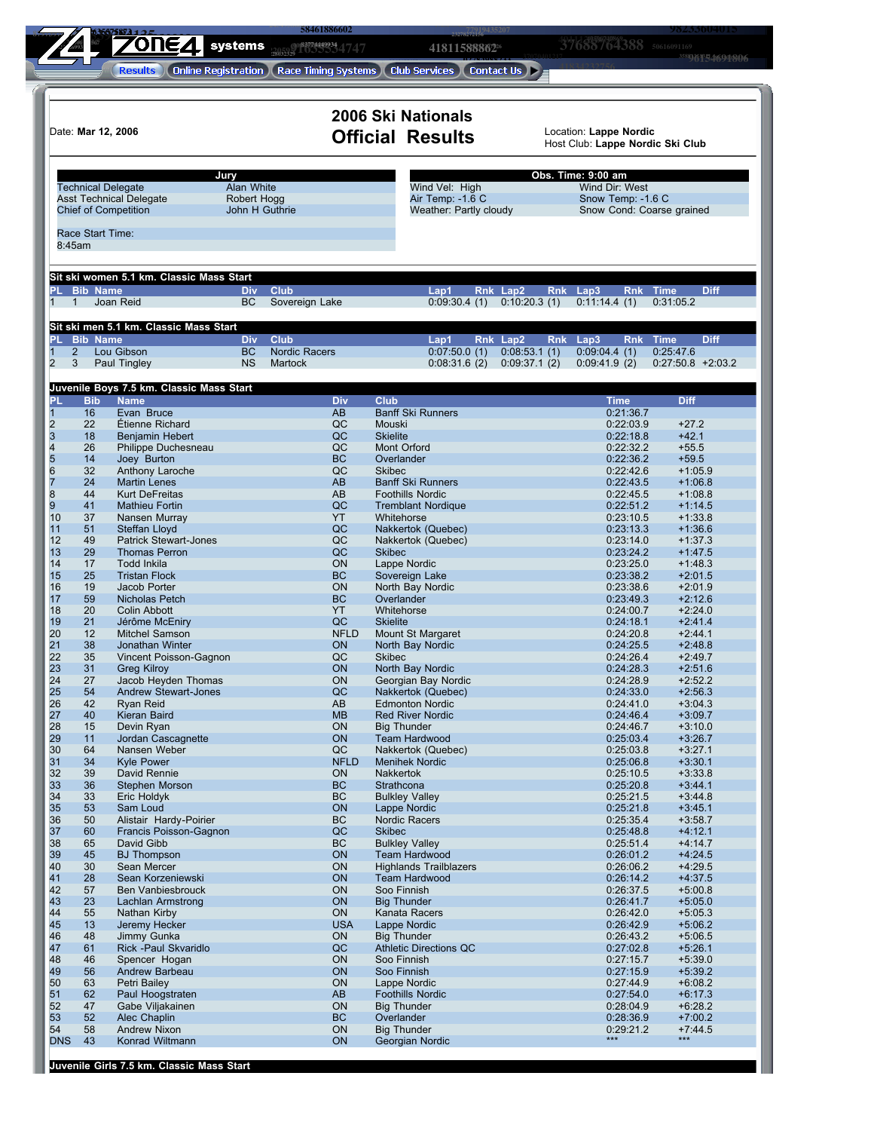|                                       |                           | ΌΠΕΔΙ                                                         | systems                | 58461886602<br>0083774449934                                                   |                                              | 4181158886226                              |                              | 37688764388 50616091169                                    | 98233604013<br>3588)1616514694806    |
|---------------------------------------|---------------------------|---------------------------------------------------------------|------------------------|--------------------------------------------------------------------------------|----------------------------------------------|--------------------------------------------|------------------------------|------------------------------------------------------------|--------------------------------------|
|                                       |                           | <b>Results</b>                                                |                        | (Online Registration ) (Race Timing Systems ) (Club Services ) (Contact Us ) > |                                              |                                            |                              |                                                            |                                      |
|                                       |                           |                                                               |                        |                                                                                | 2006 Ski Nationals                           |                                            |                              |                                                            |                                      |
|                                       | Date: Mar 12, 2006        |                                                               |                        |                                                                                | <b>Official Results</b>                      |                                            |                              | Location: Lappe Nordic<br>Host Club: Lappe Nordic Ski Club |                                      |
|                                       | <b>Technical Delegate</b> | Jury                                                          | Alan White             |                                                                                |                                              | Wind Vel: High                             |                              | Obs. Time: 9:00 am<br>Wind Dir: West                       |                                      |
|                                       |                           | <b>Asst Technical Delegate</b><br><b>Chief of Competition</b> | Robert Hogg            | John H Guthrie                                                                 |                                              | Air Temp: -1.6 C<br>Weather: Partly cloudy |                              | Snow Temp: - 1.6 C<br>Snow Cond: Coarse grained            |                                      |
| 8:45am                                | Race Start Time:          |                                                               |                        |                                                                                |                                              |                                            |                              |                                                            |                                      |
|                                       |                           | Sit ski women 5.1 km. Classic Mass Start                      |                        |                                                                                |                                              |                                            |                              |                                                            |                                      |
| $\mathbf{1}$<br>$\mathbf{1}$          | PL Bib Name               | Joan Reid                                                     | Div.<br><b>BC</b>      | <b>Club</b><br>Sovereign Lake                                                  | Lap1                                         | 0:09:30.4(1)                               | Rnk Lap2<br>0:10:20.3(1)     | Rnk Lap3<br>0:11:14.4(1)                                   | <b>Diff</b><br>Rnk Time<br>0:31:05.2 |
|                                       | PL Bib Name               | Sit ski men 5.1 km. Classic Mass Start                        | <b>Div</b>             | <b>Club</b>                                                                    | Lap1                                         |                                            | Rnk Lap2                     | Rnk Lap3                                                   | Rnk Time<br><b>Diff</b>              |
| $\overline{2}$<br>$\overline{2}$<br>3 |                           | Lou Gibson<br>Paul Tingley                                    | <b>BC</b><br><b>NS</b> | <b>Nordic Racers</b><br>Martock                                                |                                              | 0:07:50.0(1)<br>0:08:31.6(2)               | 0:08:53.1(1)<br>0:09:37.1(2) | 0:09:04.4(1)<br>0:09:41.9(2)                               | 0:25:47.6<br>$0:27:50.8$ +2:03.2     |
| PL                                    |                           | Juvenile Boys 7.5 km. Classic Mass Start                      |                        |                                                                                |                                              |                                            |                              |                                                            |                                      |
|                                       | <b>Bib</b><br>16          | <b>Name</b><br>Evan Bruce                                     |                        | <b>Div</b><br>AB                                                               | <b>Club</b><br><b>Banff Ski Runners</b>      |                                            |                              | <b>Time</b><br>0:21:36.7                                   | <b>Diff</b>                          |
|                                       | 22                        | Étienne Richard                                               |                        | QC                                                                             | Mouski                                       |                                            |                              | 0:22:03.9                                                  | $+27.2$                              |
|                                       | 18                        | Benjamin Hebert                                               |                        | QC                                                                             | <b>Skielite</b>                              |                                            |                              | 0:22:18.8                                                  | $+42.1$                              |
|                                       | 26<br>14                  | Philippe Duchesneau<br>Joey Burton                            |                        | QC<br><b>BC</b>                                                                | Mont Orford<br>Overlander                    |                                            |                              | 0:22:32.2<br>0:22:36.2                                     | $+55.5$<br>$+59.5$                   |
|                                       | 32                        | Anthony Laroche                                               |                        | QC                                                                             | <b>Skibec</b>                                |                                            |                              | 0:22:42.6                                                  | $+1:05.9$                            |
|                                       | 24                        | <b>Martin Lenes</b>                                           |                        | AB                                                                             | <b>Banff Ski Runners</b>                     |                                            |                              | 0:22:43.5                                                  | $+1:06.8$                            |
|                                       | 44                        | <b>Kurt DeFreitas</b>                                         |                        | AB                                                                             | <b>Foothills Nordic</b>                      |                                            |                              | 0:22:45.5                                                  | $+1:08.8$                            |
|                                       | 41                        | <b>Mathieu Fortin</b>                                         |                        | QC                                                                             | <b>Tremblant Nordique</b>                    |                                            |                              | 0:22:51.2                                                  | $+1:14.5$                            |
| 10                                    | 37                        | Nansen Murray                                                 |                        | YT                                                                             | Whitehorse                                   |                                            |                              | 0:23:10.5                                                  | $+1:33.8$                            |
| 11                                    | 51                        | Steffan Lloyd                                                 |                        | QC                                                                             | Nakkertok (Quebec)                           |                                            |                              | 0:23:13.3                                                  | $+1:36.6$                            |
| 12<br>13                              | 49<br>29                  | <b>Patrick Stewart-Jones</b><br><b>Thomas Perron</b>          |                        | QC<br>QC                                                                       | Nakkertok (Quebec)<br><b>Skibec</b>          |                                            |                              | 0:23:14.0<br>0:23:24.2                                     | $+1:37.3$<br>$+1:47.5$               |
| 14                                    | 17                        | <b>Todd Inkila</b>                                            |                        | ON                                                                             | Lappe Nordic                                 |                                            |                              | 0:23:25.0                                                  | $+1:48.3$                            |
| 15                                    | 25                        | <b>Tristan Flock</b>                                          |                        | <b>BC</b>                                                                      | Sovereign Lake                               |                                            |                              | 0:23:38.2                                                  | $+2:01.5$                            |
| 16                                    | 19                        | Jacob Porter                                                  |                        | ON                                                                             | North Bay Nordic                             |                                            |                              | 0:23:38.6                                                  | $+2:01.9$                            |
| 17                                    | 59                        | Nicholas Petch                                                |                        | <b>BC</b>                                                                      | Overlander                                   |                                            |                              | 0:23:49.3                                                  | $+2:12.6$                            |
| 18                                    | 20                        | <b>Colin Abbott</b>                                           |                        | YT                                                                             | Whitehorse                                   |                                            |                              | 0:24:00.7                                                  | $+2:24.0$                            |
| 19                                    | 21                        | Jérôme McEniry                                                |                        | QC                                                                             | <b>Skielite</b>                              |                                            |                              | 0:24:18.1                                                  | $+2:41.4$                            |
| 20                                    | 12                        | Mitchel Samson                                                |                        | <b>NFLD</b>                                                                    | Mount St Margaret                            |                                            |                              | 0:24:20.8                                                  | $+2:44.1$                            |
| $\overline{21}$                       | 38                        | Jonathan Winter                                               |                        | ON                                                                             | North Bay Nordic                             |                                            |                              | 0:24:25.5                                                  | $+2:48.8$                            |
| 22                                    | 35                        | Vincent Poisson-Gagnon                                        |                        | QC                                                                             | <b>Skibec</b>                                |                                            |                              | 0:24:26.4                                                  | $+2:49.7$<br>$+2:51.6$               |
| 23<br>$\overline{24}$                 | 31<br>27                  | <b>Greg Kilroy</b><br>Jacob Heyden Thomas                     |                        | ON<br>ON                                                                       | North Bay Nordic<br>Georgian Bay Nordic      |                                            |                              | 0:24:28.3<br>0:24:28.9                                     | $+2:52.2$                            |
| 25                                    | 54                        | <b>Andrew Stewart-Jones</b>                                   |                        | QC                                                                             | Nakkertok (Quebec)                           |                                            |                              | 0:24:33.0                                                  | $+2:56.3$                            |
| 26                                    | 42                        | Ryan Reid                                                     |                        | AB                                                                             | <b>Edmonton Nordic</b>                       |                                            |                              | 0:24:41.0                                                  | $+3:04.3$                            |
| 27                                    | 40                        | Kieran Baird                                                  |                        | <b>MB</b>                                                                      | <b>Red River Nordic</b>                      |                                            |                              | 0:24:46.4                                                  | $+3:09.7$                            |
| 28                                    | 15                        | Devin Ryan                                                    |                        | ON                                                                             | <b>Big Thunder</b>                           |                                            |                              | 0:24:46.7                                                  | $+3:10.0$                            |
| 29                                    | 11                        | Jordan Cascagnette                                            |                        | ON                                                                             | <b>Team Hardwood</b>                         |                                            |                              | 0:25:03.4                                                  | $+3:26.7$                            |
| 30 <sub>2</sub><br>31                 | 64<br>34                  | Nansen Weber<br><b>Kyle Power</b>                             |                        | QC<br><b>NFLD</b>                                                              | Nakkertok (Quebec)<br><b>Menihek Nordic</b>  |                                            |                              | 0:25:03.8<br>0:25:06.8                                     | $+3:27.1$<br>$+3:30.1$               |
| 32                                    | 39                        | David Rennie                                                  |                        | ON                                                                             | Nakkertok                                    |                                            |                              | 0:25:10.5                                                  | $+3:33.8$                            |
| 33                                    | 36                        | Stephen Morson                                                |                        | <b>BC</b>                                                                      | Strathcona                                   |                                            |                              | 0:25:20.8                                                  | $+3:44.1$                            |
| 34                                    | 33                        | Eric Holdyk                                                   |                        | BC                                                                             | <b>Bulkley Valley</b>                        |                                            |                              | 0:25:21.5                                                  | $+3:44.8$                            |
| 35                                    | 53                        | Sam Loud                                                      |                        | ON                                                                             | Lappe Nordic                                 |                                            |                              | 0:25:21.8                                                  | $+3:45.1$                            |
| 36                                    | 50                        | Alistair Hardy-Poirier                                        |                        | <b>BC</b>                                                                      | Nordic Racers                                |                                            |                              | 0:25:35.4                                                  | $+3:58.7$                            |
| 37<br>38                              | 60                        | Francis Poisson-Gagnon<br>David Gibb                          |                        | QC<br><b>BC</b>                                                                | <b>Skibec</b><br><b>Bulkley Valley</b>       |                                            |                              | 0:25:48.8                                                  | $+4:12.1$                            |
| 39                                    | 65<br>45                  | <b>BJ Thompson</b>                                            |                        | ON                                                                             | <b>Team Hardwood</b>                         |                                            |                              | 0:25:51.4<br>0:26:01.2                                     | $+4:14.7$<br>$+4:24.5$               |
| 40                                    | 30                        | Sean Mercer                                                   |                        | ON                                                                             | <b>Highlands Trailblazers</b>                |                                            |                              | 0:26:06.2                                                  | $+4:29.5$                            |
| 41                                    | 28                        | Sean Korzeniewski                                             |                        | ON                                                                             | <b>Team Hardwood</b>                         |                                            |                              | 0:26:14.2                                                  | $+4:37.5$                            |
| 42                                    | 57                        | Ben Vanbiesbrouck                                             |                        | ON                                                                             | Soo Finnish                                  |                                            |                              | 0:26:37.5                                                  | $+5:00.8$                            |
| 43                                    | 23                        | Lachlan Armstrong                                             |                        | ON                                                                             | <b>Big Thunder</b>                           |                                            |                              | 0:26:41.7                                                  | $+5:05.0$                            |
| 44                                    | 55                        | Nathan Kirby                                                  |                        | <b>ON</b>                                                                      | Kanata Racers                                |                                            |                              | 0:26:42.0                                                  | $+5:05.3$                            |
| 45                                    | 13                        | Jeremy Hecker                                                 |                        | <b>USA</b>                                                                     | Lappe Nordic                                 |                                            |                              | 0:26:42.9                                                  | $+5:06.2$                            |
| 46<br>47                              | 48                        | Jimmy Gunka                                                   |                        | ON<br>QC                                                                       | <b>Big Thunder</b>                           |                                            |                              | 0:26:43.2                                                  | $+5:06.5$                            |
| 48                                    | 61<br>46                  | Rick - Paul Skvaridlo<br>Spencer Hogan                        |                        | ON                                                                             | <b>Athletic Directions QC</b><br>Soo Finnish |                                            |                              | 0:27:02.8<br>0:27:15.7                                     | $+5:26.1$<br>$+5:39.0$               |
| 49                                    | 56                        | Andrew Barbeau                                                |                        | ON                                                                             | Soo Finnish                                  |                                            |                              | 0:27:15.9                                                  | $+5:39.2$                            |
| 50                                    | 63                        | Petri Bailey                                                  |                        | ON                                                                             | Lappe Nordic                                 |                                            |                              | 0:27:44.9                                                  | $+6:08.2$                            |
| 51                                    | 62                        | Paul Hoogstraten                                              |                        | AB                                                                             | <b>Foothills Nordic</b>                      |                                            |                              | 0:27:54.0                                                  | $+6:17.3$                            |
| 52                                    | 47                        | Gabe Viljakainen                                              |                        | ON                                                                             | <b>Big Thunder</b>                           |                                            |                              | 0:28:04.9                                                  | $+6:28.2$                            |
| 53                                    | 52                        | Alec Chaplin                                                  |                        | <b>BC</b>                                                                      | Overlander                                   |                                            |                              | 0:28:36.9                                                  | $+7:00.2$                            |
| 54                                    | 58                        | Andrew Nixon                                                  |                        | ON                                                                             | <b>Big Thunder</b>                           |                                            |                              | 0:29:21.2                                                  | $+7:44.5$                            |
| <b>DNS</b>                            | 43                        | Konrad Wiltmann                                               |                        | ON                                                                             | Georgian Nordic                              |                                            |                              | ***                                                        | ***                                  |

**Juvenile Girls 7.5 km. Classic Mass Start**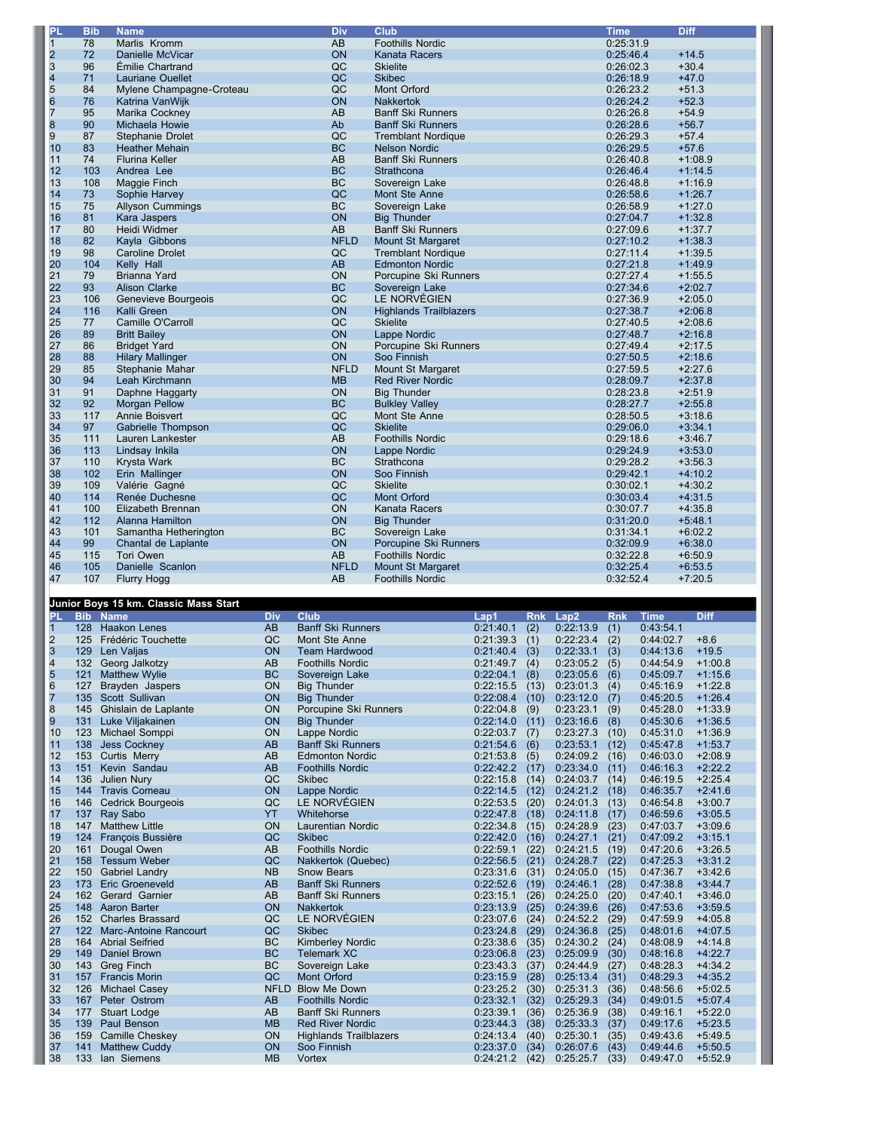| PL                      | <b>Bib</b> | <b>Name</b>              | <b>Div</b>  | Club                          | <b>Time</b> | Diff      |
|-------------------------|------------|--------------------------|-------------|-------------------------------|-------------|-----------|
| $\mathbf{1}$            | 78         | Marlis Kromm             | AB          | <b>Foothills Nordic</b>       | 0:25:31.9   |           |
| $\overline{\mathbf{c}}$ | 72         | Danielle McVicar         | ON          | <b>Kanata Racers</b>          | 0:25:46.4   | $+14.5$   |
| $\overline{3}$          | 96         | Émilie Chartrand         | QC          | <b>Skielite</b>               | 0:26:02.3   | $+30.4$   |
| 4                       | 71         | <b>Lauriane Ouellet</b>  | QC          | <b>Skibec</b>                 | 0:26:18.9   | $+47.0$   |
| 5                       | 84         | Mylene Champagne-Croteau | QC          | <b>Mont Orford</b>            | 0:26:23.2   | $+51.3$   |
| $\overline{6}$          | 76         | Katrina VanWijk          | ON          | <b>Nakkertok</b>              | 0:26:24.2   | $+52.3$   |
| $\overline{7}$          | 95         | Marika Cockney           | AB          | <b>Banff Ski Runners</b>      | 0:26:26.8   | $+54.9$   |
| 8                       | 90         | Michaela Howie           | Ab          | <b>Banff Ski Runners</b>      | 0:26:28.6   | $+56.7$   |
| $\overline{9}$          | 87         | Stephanie Drolet         | QC          | <b>Tremblant Nordique</b>     | 0:26:29.3   | $+57.4$   |
| 10                      | 83         | <b>Heather Mehain</b>    | <b>BC</b>   | <b>Nelson Nordic</b>          | 0:26:29.5   | $+57.6$   |
| 11                      | 74         | <b>Flurina Keller</b>    | AB          | <b>Banff Ski Runners</b>      | 0:26:40.8   | $+1:08.9$ |
| 12                      | 103        | Andrea Lee               | <b>BC</b>   | Strathcona                    | 0:26:46.4   | $+1:14.5$ |
| 13                      | 108        | Maggie Finch             | <b>BC</b>   | Sovereign Lake                | 0:26:48.8   | $+1:16.9$ |
| 14                      | 73         | Sophie Harvey            | QC          | Mont Ste Anne                 | 0:26:58.6   | $+1:26.7$ |
| 15                      | 75         | <b>Allyson Cummings</b>  | <b>BC</b>   | Sovereign Lake                | 0:26:58.9   | $+1:27.0$ |
| 16                      | 81         | Kara Jaspers             | ON          | <b>Big Thunder</b>            | 0:27:04.7   | $+1:32.8$ |
| 17                      | 80         | Heidi Widmer             | AB          | <b>Banff Ski Runners</b>      | 0:27:09.6   | $+1:37.7$ |
| 18                      | 82         | Kayla Gibbons            | <b>NFLD</b> | <b>Mount St Margaret</b>      | 0:27:10.2   | $+1:38.3$ |
| 19                      | 98         | <b>Caroline Drolet</b>   | QC          | <b>Tremblant Nordique</b>     | 0:27:11.4   | $+1:39.5$ |
| 20                      | 104        | Kelly Hall               | AB          | <b>Edmonton Nordic</b>        | 0:27:21.8   | $+1:49.9$ |
| 21                      | 79         | Brianna Yard             | ON          | Porcupine Ski Runners         | 0:27:27.4   | $+1:55.5$ |
| 22                      | 93         | <b>Alison Clarke</b>     | <b>BC</b>   | Sovereign Lake                | 0:27:34.6   | $+2:02.7$ |
| 23                      | 106        | Genevieve Bourgeois      | QC          | LE NORVÉGIEN                  | 0:27:36.9   | $+2:05.0$ |
| 24                      | 116        | Kalli Green              | ON          | <b>Highlands Trailblazers</b> | 0:27:38.7   | $+2:06.8$ |
| 25                      | 77         | Camille O'Carroll        | QC          | <b>Skielite</b>               | 0:27:40.5   | $+2:08.6$ |
| 26                      | 89         | <b>Britt Bailey</b>      | ON          | Lappe Nordic                  | 0:27:48.7   | $+2:16.8$ |
| 27                      | 86         | <b>Bridget Yard</b>      | ON          | Porcupine Ski Runners         | 0:27:49.4   | $+2:17.5$ |
| 28                      | 88         | <b>Hilary Mallinger</b>  | ON          | Soo Finnish                   | 0:27:50.5   | $+2:18.6$ |
| 29                      | 85         | Stephanie Mahar          | <b>NFLD</b> | Mount St Margaret             | 0:27:59.5   | $+2:27.6$ |
| 30                      | 94         | Leah Kirchmann           | <b>MB</b>   | <b>Red River Nordic</b>       | 0:28:09.7   | $+2:37.8$ |
| 31                      | 91         | Daphne Haggarty          | ON          | <b>Big Thunder</b>            | 0:28:23.8   | $+2:51.9$ |
| 32                      | 92         | <b>Morgan Pellow</b>     | <b>BC</b>   | <b>Bulkley Valley</b>         | 0:28:27.7   | $+2:55.8$ |
| 33                      | 117        | Annie Boisvert           | QC          | Mont Ste Anne                 | 0:28:50.5   | $+3:18.6$ |
| 34                      | 97         | Gabrielle Thompson       | QC          | <b>Skielite</b>               | 0:29:06.0   | $+3:34.1$ |
| 35                      | 111        | Lauren Lankester         | AB          | <b>Foothills Nordic</b>       | 0:29:18.6   | $+3:46.7$ |
| 36                      | 113        | Lindsay Inkila           | ON          | Lappe Nordic                  | 0:29:24.9   | $+3:53.0$ |
| 37                      | 110        | Krysta Wark              | <b>BC</b>   | Strathcona                    | 0:29:28.2   | $+3:56.3$ |
| 38                      | 102        | Erin Mallinger           | ON          | Soo Finnish                   | 0:29:42.1   | $+4:10.2$ |
| 39                      | 109        | Valérie Gagné            | QC          | <b>Skielite</b>               | 0:30:02.1   | $+4:30.2$ |
| 40                      | 114        | Renée Duchesne           | QC          | <b>Mont Orford</b>            | 0:30:03.4   | $+4:31.5$ |
| 41                      | 100        | Elizabeth Brennan        | ON          | Kanata Racers                 | 0:30:07.7   | $+4:35.8$ |
| 42                      | 112        | Alanna Hamilton          | ON          | <b>Big Thunder</b>            | 0:31:20.0   | $+5:48.1$ |
| 43                      | 101        | Samantha Hetherington    | <b>BC</b>   | Sovereign Lake                | 0:31:34.1   | $+6:02.2$ |
| 44                      | 99         | Chantal de Laplante      | ON          | Porcupine Ski Runners         | 0:32:09.9   | $+6:38.0$ |
| 45                      | 115        | <b>Tori Owen</b>         | AB          | <b>Foothills Nordic</b>       | 0:32:22.8   | $+6:50.9$ |
| 46                      | 105        | Danielle Scanlon         | <b>NFLD</b> | <b>Mount St Margaret</b>      | 0:32:25.4   | $+6:53.5$ |
| 47                      | 107        | Flurry Hogg              | AB          | <b>Foothills Nordic</b>       | 0:32:52.4   | $+7:20.5$ |
|                         |            |                          |             |                               |             |           |

## **Junior Boys 15 km. Classic Mass Start**

| PI.                     | <b>Bib</b> | <b>Name</b>                  | Div         | Club                          | Lap1      | <b>Rnk</b> | Lap2      | <b>Rnk</b> | <b>Time</b> | <b>Diff</b> |
|-------------------------|------------|------------------------------|-------------|-------------------------------|-----------|------------|-----------|------------|-------------|-------------|
| 1                       | 128        | <b>Haakon Lenes</b>          | AB          | <b>Banff Ski Runners</b>      | 0:21:40.1 | (2)        | 0:22:13.9 | (1)        | 0:43:54.1   |             |
| $\overline{2}$          | 125        | Frédéric Touchette           | QC          | Mont Ste Anne                 | 0:21:39.3 | (1)        | 0:22:23.4 | (2)        | 0:44:02.7   | $+8.6$      |
| 3                       | 129        | Len Valjas                   | ON          | <b>Team Hardwood</b>          | 0:21:40.4 | (3)        | 0:22:33.1 | (3)        | 0:44:13.6   | $+19.5$     |
| $\overline{\mathbf{4}}$ | 132        | Georg Jalkotzy               | AB          | <b>Foothills Nordic</b>       | 0:21:49.7 | (4)        | 0:23:05.2 | (5)        | 0:44:54.9   | $+1:00.8$   |
| 5                       | 121        | <b>Matthew Wylie</b>         | <b>BC</b>   | Sovereign Lake                | 0:22:04.1 | (8)        | 0:23:05.6 | (6)        | 0:45:09.7   | $+1:15.6$   |
| 6                       | 127        | Brayden Jaspers              | ON          | <b>Big Thunder</b>            | 0:22:15.5 | (13)       | 0:23:01.3 | (4)        | 0:45:16.9   | $+1:22.8$   |
| 7                       | 135        | Scott Sullivan               | ON          | <b>Big Thunder</b>            | 0:22:08.4 | (10)       | 0:23:12.0 | (7)        | 0:45:20.5   | $+1:26.4$   |
| 8                       | 145        | Ghislain de Laplante         | ON          | Porcupine Ski Runners         | 0:22:04.8 | (9)        | 0:23:23.1 | (9)        | 0:45:28.0   | $+1:33.9$   |
| 9                       | 131        | Luke Viljakainen             | ON          | <b>Big Thunder</b>            | 0:22:14.0 | (11)       | 0:23:16.6 | (8)        | 0:45:30.6   | $+1:36.5$   |
| 10                      | 123        | Michael Somppi               | ON          | Lappe Nordic                  | 0:22:03.7 | (7)        | 0:23:27.3 | (10)       | 0:45:31.0   | $+1:36.9$   |
| 11                      | 138        | <b>Jess Cockney</b>          | <b>AB</b>   | <b>Banff Ski Runners</b>      | 0:21:54.6 | (6)        | 0:23:53.1 | (12)       | 0:45:47.8   | $+1:53.7$   |
| 12                      | 153        | Curtis Merry                 | AB          | <b>Edmonton Nordic</b>        | 0:21:53.8 | (5)        | 0:24:09.2 | (16)       | 0:46:03.0   | $+2:08.9$   |
| 13                      | 151        | Kevin Sandau                 | <b>AB</b>   | <b>Foothills Nordic</b>       | 0:22:42.2 | (17)       | 0:23:34.0 | (11)       | 0:46:16.3   | $+2:22.2$   |
| 14                      | 136        | <b>Julien Nury</b>           | QC          | <b>Skibec</b>                 | 0:22:15.8 | (14)       | 0:24:03.7 | (14)       | 0:46:19.5   | $+2:25.4$   |
| 15                      | 144        | <b>Travis Comeau</b>         | ON          | Lappe Nordic                  | 0:22:14.5 | (12)       | 0:24:21.2 | (18)       | 0:46:35.7   | $+2:41.6$   |
| 16                      | 146        | <b>Cedrick Bourgeois</b>     | QC          | LE NORVÉGIEN                  | 0:22:53.5 | (20)       | 0:24:01.3 | (13)       | 0:46:54.8   | $+3:00.7$   |
| 17                      | 137        | Ray Sabo                     | YT          | Whitehorse                    | 0:22:47.8 | (18)       | 0:24:11.8 | (17)       | 0:46:59.6   | $+3:05.5$   |
| 18                      | 147        | <b>Matthew Little</b>        | ON          | Laurentian Nordic             | 0:22:34.8 | (15)       | 0:24:28.9 | (23)       | 0:47:03.7   | $+3:09.6$   |
| 19                      | 124        | François Bussière            | QC          | <b>Skibec</b>                 | 0:22:42.0 | (16)       | 0:24:27.1 | (21)       | 0:47:09.2   | $+3:15.1$   |
| 20                      | 161        | Dougal Owen                  | AB          | <b>Foothills Nordic</b>       | 0:22:59.1 | (22)       | 0:24:21.5 | (19)       | 0:47:20.6   | $+3:26.5$   |
| 21                      | 158        | <b>Tessum Weber</b>          | QC          | Nakkertok (Quebec)            | 0:22:56.5 | (21)       | 0:24:28.7 | (22)       | 0:47:25.3   | $+3:31.2$   |
| 22                      | 150        | <b>Gabriel Landry</b>        | <b>NB</b>   | <b>Snow Bears</b>             | 0:23:31.6 | (31)       | 0:24:05.0 | (15)       | 0:47:36.7   | $+3:42.6$   |
| 23                      | 173        | <b>Eric Groeneveld</b>       | <b>AB</b>   | <b>Banff Ski Runners</b>      | 0:22:52.6 | (19)       | 0:24:46.1 | (28)       | 0:47:38.8   | $+3:44.7$   |
| 24                      | 162        | Gerard Garnier               | AB          | <b>Banff Ski Runners</b>      | 0:23:15.1 | (26)       | 0:24:25.0 | (20)       | 0:47:40.1   | $+3:46.0$   |
| 25                      | 148        | <b>Aaron Barter</b>          | ON          | <b>Nakkertok</b>              | 0:23:13.9 | (25)       | 0:24:39.6 | (26)       | 0:47:53.6   | $+3:59.5$   |
| 26                      | 152        | <b>Charles Brassard</b>      | QC          | LE NORVÉGIEN                  | 0:23:07.6 | (24)       | 0:24:52.2 | (29)       | 0:47:59.9   | $+4:05.8$   |
| 27                      | 122        | <b>Marc-Antoine Rancourt</b> | QC          | <b>Skibec</b>                 | 0:23:24.8 | (29)       | 0:24:36.8 | (25)       | 0:48:01.6   | $+4:07.5$   |
| 28                      | 164        | <b>Abrial Seifried</b>       | <b>BC</b>   | <b>Kimberley Nordic</b>       | 0:23:38.6 | (35)       | 0:24:30.2 | (24)       | 0:48:08.9   | $+4:14.8$   |
| 29                      | 149        | <b>Daniel Brown</b>          | <b>BC</b>   | <b>Telemark XC</b>            | 0:23:06.8 | (23)       | 0:25:09.9 | (30)       | 0:48:16.8   | $+4:22.7$   |
| 30                      | 143        | <b>Greg Finch</b>            | <b>BC</b>   | Sovereign Lake                | 0:23:43.3 | (37)       | 0:24:44.9 | (27)       | 0:48:28.3   | $+4:34.2$   |
| 31                      | 157        | <b>Francis Morin</b>         | QC          | <b>Mont Orford</b>            | 0:23:15.9 | (28)       | 0:25:13.4 | (31)       | 0:48:29.3   | $+4:35.2$   |
| 32                      | 126        | <b>Michael Casey</b>         | <b>NFLD</b> | <b>Blow Me Down</b>           | 0:23:25.2 | (30)       | 0:25:31.3 | (36)       | 0:48:56.6   | $+5:02.5$   |
| 33                      | 167        | Peter Ostrom                 | AB          | <b>Foothills Nordic</b>       | 0:23:32.1 | (32)       | 0:25:29.3 | (34)       | 0:49:01.5   | $+5:07.4$   |
| 34                      | 177        | <b>Stuart Lodge</b>          | AB          | <b>Banff Ski Runners</b>      | 0:23:39.1 | (36)       | 0:25:36.9 | (38)       | 0:49:16.1   | $+5:22.0$   |
| 35                      | 139        | Paul Benson                  | <b>MB</b>   | <b>Red River Nordic</b>       | 0:23:44.3 | (38)       | 0:25:33.3 | (37)       | 0:49:17.6   | $+5:23.5$   |
| 36                      | 159        | Camille Cheskey              | ON          | <b>Highlands Trailblazers</b> | 0:24:13.4 | (40)       | 0:25:30.1 | (35)       | 0:49:43.6   | $+5:49.5$   |
| 37                      | 141        | <b>Matthew Cuddy</b>         | ON          | Soo Finnish                   | 0:23:37.0 | (34)       | 0:26:07.6 | (43)       | 0:49:44.6   | $+5:50.5$   |
| 38                      | 133        | lan Siemens                  | <b>MB</b>   | Vortex                        | 0:24:21.2 | (42)       | 0:25:25.7 | (33)       | 0:49:47.0   | $+5:52.9$   |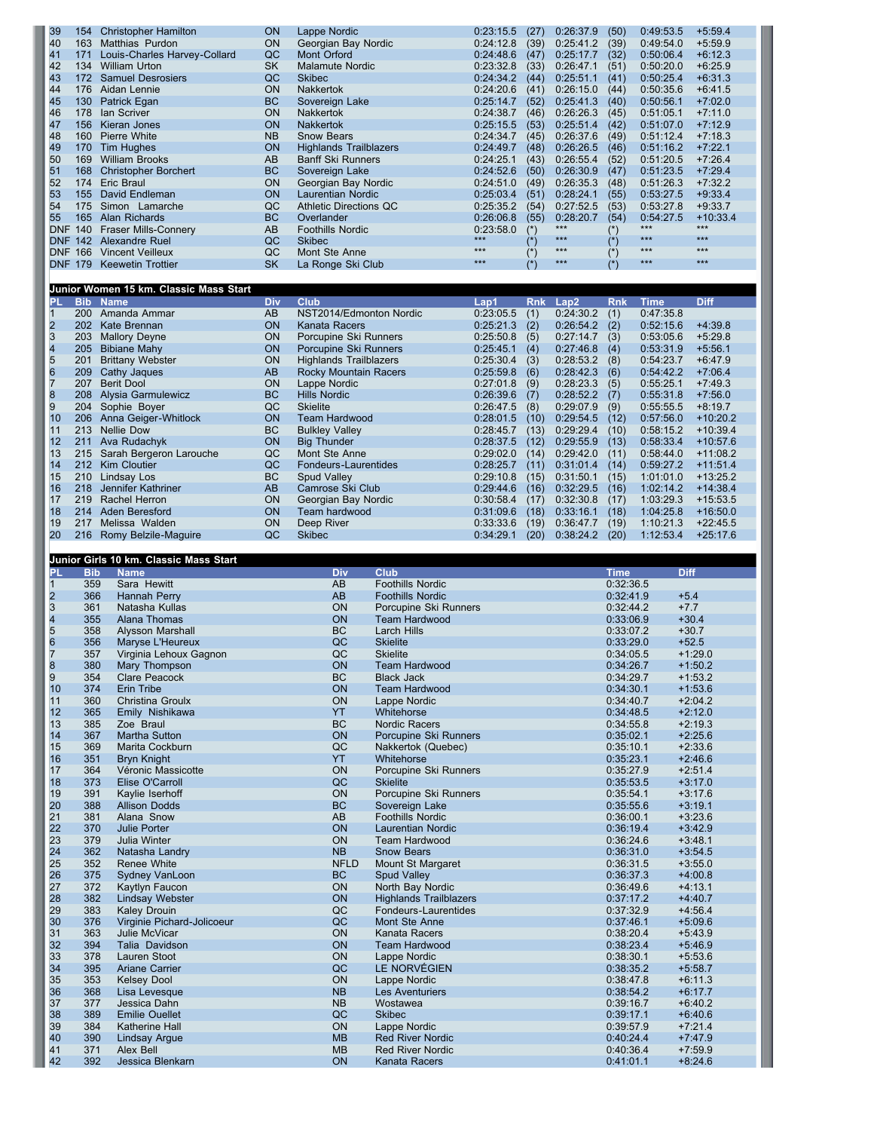| 39                      | 154        | <b>Christopher Hamilton</b>            | <b>ON</b>  | Lappe Nordic                  |                                          | 0:23:15.5          | (27)       | 0:26:37.9          | (50)                   | 0:49:53.5          | $+5:59.4$              |
|-------------------------|------------|----------------------------------------|------------|-------------------------------|------------------------------------------|--------------------|------------|--------------------|------------------------|--------------------|------------------------|
| 40                      | 163        | Matthias Purdon                        | <b>ON</b>  | Georgian Bay Nordic           |                                          | 0:24:12.8          | (39)       | 0:25:41.2          | (39)                   | 0:49:54.0          | $+5:59.9$              |
| 41                      | 171        | Louis-Charles Harvey-Collard           | QC         | <b>Mont Orford</b>            |                                          | 0:24:48.6          | (47)       | 0:25:17.7          | (32)                   | 0:50:06.4          | $+6:12.3$              |
| 42                      | 134        | <b>William Urton</b>                   | <b>SK</b>  | <b>Malamute Nordic</b>        |                                          | 0:23:32.8          | (33)       | 0:26:47.1          | (51)                   | 0:50:20.0          | $+6:25.9$              |
| 43                      | 172        | <b>Samuel Desrosiers</b>               | QC         | <b>Skibec</b>                 |                                          | 0:24:34.2          | (44)       | 0:25:51.1          | (41)                   | 0:50:25.4          | $+6:31.3$              |
| 44                      | 176        | Aidan Lennie                           | ON         | Nakkertok                     |                                          | 0:24:20.6          | (41)       | 0:26:15.0          | (44)                   | 0:50:35.6          | $+6:41.5$              |
| 45                      | 130        | Patrick Egan                           | <b>BC</b>  | Sovereign Lake                |                                          | 0:25:14.7          | (52)       | 0:25:41.3          | (40)                   | 0:50:56.1          | $+7:02.0$              |
| 46                      | 178        | lan Scriver                            | ON         | Nakkertok                     |                                          | 0:24:38.7          | (46)       | 0:26:26.3          | (45)                   | 0:51:05.1          | $+7:11.0$              |
| 47                      | 156        | Kieran Jones                           | <b>ON</b>  | <b>Nakkertok</b>              |                                          | 0:25:15.5          | (53)       | 0:25:51.4          | (42)                   | 0:51:07.0          | $+7:12.9$              |
| 48                      | 160        | <b>Pierre White</b>                    | <b>NB</b>  | Snow Bears                    |                                          | 0:24:34.7          | (45)       | 0:26:37.6          | (49)                   | 0:51:12.4          | $+7:18.3$              |
| 49                      | 170        | Tim Hughes                             | ON         | <b>Highlands Trailblazers</b> |                                          | 0:24:49.7          | (48)       | 0:26:26.5          | (46)                   | 0:51:16.2          | $+7:22.1$              |
| 50                      | 169        | <b>William Brooks</b>                  | AB         | <b>Banff Ski Runners</b>      |                                          | 0:24:25.1          | (43)       | 0:26:55.4          | (52)                   | 0:51:20.5          | $+7:26.4$              |
| 51                      | 168        | <b>Christopher Borchert</b>            | <b>BC</b>  | Sovereign Lake                |                                          | 0:24:52.6          | (50)       | 0:26:30.9          | (47)                   | 0:51:23.5          | $+7:29.4$              |
| 52                      | 174        | <b>Eric Braul</b>                      | ON         | Georgian Bay Nordic           |                                          | 0:24:51.0          | (49)       | 0:26:35.3          | (48)                   | 0:51:26.3          | $+7:32.2$              |
| 53                      | 155        | David Endleman                         | ON         | <b>Laurentian Nordic</b>      |                                          | 0:25:03.4          | (51)       | 0:28:24.1          | (55)                   | 0:53:27.5          | $+9:33.4$              |
| 54                      | 175        |                                        | QC         |                               |                                          |                    |            |                    |                        | 0:53:27.8          |                        |
|                         |            | Simon Lamarche                         |            | <b>Athletic Directions QC</b> |                                          | 0:25:35.2          | (54)       | 0:27:52.5          | (53)                   |                    | $+9:33.7$              |
| 55                      | 165        | Alan Richards                          | <b>BC</b>  | Overlander                    |                                          | 0:26:06.8          | (55)       | 0:28:20.7<br>$***$ | (54)                   | 0:54:27.5<br>$***$ | $+10:33.4$<br>$***$    |
| DNF 140                 |            | <b>Fraser Mills-Connery</b>            | AB         | <b>Foothills Nordic</b>       |                                          | 0:23:58.0<br>$***$ | $(*)$      | $***$              | $(*)$                  | $***$              | $***$                  |
|                         | DNF 142    | Alexandre Ruel                         | QC         | <b>Skibec</b>                 |                                          | $***$              | $(*)$      | $***$              | $(*)$                  | ***                | $***$                  |
| <b>DNF</b>              | 166        | <b>Vincent Veilleux</b>                | QC         | Mont Ste Anne                 |                                          | $***$              | $(*)$      | $***$              | $(*)$                  | $***$              | $***$                  |
| DNF.                    | 179        | <b>Keewetin Trottier</b>               | <b>SK</b>  | La Ronge Ski Club             |                                          |                    | $(*)$      |                    | $(*)$                  |                    |                        |
|                         |            |                                        |            |                               |                                          |                    |            |                    |                        |                    |                        |
|                         |            | Junior Women 15 km. Classic Mass Start |            |                               |                                          |                    |            |                    |                        |                    |                        |
| PL                      |            | <b>Bib Name</b>                        | <b>Div</b> | <b>Club</b>                   |                                          | Lap1               | <b>Rnk</b> | Lap2               | <b>Rnk</b>             | <b>Time</b>        | <b>Diff</b>            |
| $\mathbf{1}$            |            | 200 Amanda Ammar                       | AB         | NST2014/Edmonton Nordic       |                                          | 0:23:05.5          | (1)        | 0:24:30.2          | (1)                    | 0:47:35.8          |                        |
| $\overline{\mathbf{c}}$ | 202        | Kate Brennan                           | ON         | <b>Kanata Racers</b>          |                                          | 0:25:21.3          | (2)        | 0:26:54.2          | (2)                    | 0:52:15.6          | $+4:39.8$              |
| $\overline{\mathbf{3}}$ | 203        | <b>Mallory Deyne</b>                   | <b>ON</b>  | Porcupine Ski Runners         |                                          | 0:25:50.8          | (5)        | 0:27:14.7          | (3)                    | 0:53:05.6          | $+5:29.8$              |
| 4                       | 205        | <b>Bibiane Mahy</b>                    | ON         | Porcupine Ski Runners         |                                          | 0:25:45.1          | (4)        | 0:27:46.8          | (4)                    | 0:53:31.9          | $+5:56.1$              |
| 5                       | 201        | <b>Brittany Webster</b>                | ON         | <b>Highlands Trailblazers</b> |                                          | 0:25:30.4          | (3)        | 0:28:53.2          | (8)                    | 0:54:23.7          | $+6:47.9$              |
| 6                       | 209        | Cathy Jaques                           | AB         | Rocky Mountain Racers         |                                          | 0:25:59.8          | (6)        | 0:28:42.3          | (6)                    | 0:54:42.2          | $+7:06.4$              |
| $\overline{7}$          | 207        | <b>Berit Dool</b>                      | ON         | Lappe Nordic                  |                                          | 0:27:01.8          | (9)        | 0:28:23.3          | (5)                    | 0:55:25.1          | $+7:49.3$              |
| 8                       | 208        | Alysia Garmulewicz                     | <b>BC</b>  | <b>Hills Nordic</b>           |                                          | 0:26:39.6          | (7)        | 0:28:52.2          | (7)                    | 0:55:31.8          | $+7:56.0$              |
| 9                       | 204        | Sophie Boyer                           | QC         | <b>Skielite</b>               |                                          | 0:26:47.5          | (8)        | 0:29:07.9          | (9)                    | 0:55:55.5          | $+8:19.7$              |
| 10                      | 206        | Anna Geiger-Whitlock                   | <b>ON</b>  | <b>Team Hardwood</b>          |                                          | 0:28:01.5          | (10)       | 0:29:54.5          | (12)                   | 0:57:56.0          | $+10:20.2$             |
| 11                      | 213        | <b>Nellie Dow</b>                      | <b>BC</b>  | <b>Bulkley Valley</b>         |                                          | 0:28:45.7          | (13)       | 0:29:29.4          | (10)                   | 0:58:15.2          | $+10:39.4$             |
| 12                      | 211        | Ava Rudachyk                           | <b>ON</b>  | <b>Big Thunder</b>            |                                          | 0:28:37.5          | (12)       | 0:29:55.9          | (13)                   | 0:58:33.4          | $+10:57.6$             |
|                         | 215        |                                        | QC         | Mont Ste Anne                 |                                          |                    |            | 0:29:42.0          |                        | 0:58:44.0          | $+11:08.2$             |
| 13                      |            | Sarah Bergeron Larouche                |            |                               |                                          | 0:29:02.0          | (14)       |                    | (11)                   |                    |                        |
| 14                      | 212        | Kim Cloutier                           | QC         | Fondeurs-Laurentides          |                                          | 0:28:25.7          | (11)       | 0:31:01.4          | (14)                   | 0:59:27.2          | $+11:51.4$             |
| 15                      | 210        | Lindsay Los                            | <b>BC</b>  | Spud Valley                   |                                          | 0:29:10.8          | (15)       | 0:31:50.1          | (15)                   | 1:01:01.0          | $+13:25.2$             |
| 16                      | 218        | Jennifer Kathriner                     | AB         | Camrose Ski Club              |                                          | 0:29:44.6          | (16)       | 0:32:29.5          | (16)                   | 1:02:14.2          | $+14:38.4$             |
| 17                      | 219        | Rachel Herron                          | ON         | Georgian Bay Nordic           |                                          | 0:30:58.4          | (17)       | 0:32:30.8          | (17)                   | 1:03:29.3          | $+15:53.5$             |
| 18                      |            | 214 Aden Beresford                     | ON         | Team hardwood                 |                                          | 0:31:09.6          | (18)       | 0:33:16.1          | (18)                   | 1:04:25.8          | $+16:50.0$             |
| 19                      | 217        | Melissa Walden                         | <b>ON</b>  | Deep River                    |                                          | 0:33:33.6          | (19)       | 0:36:47.7          | (19)                   | 1:10:21.3          | $+22:45.5$             |
| 20                      |            | 216 Romy Belzile-Maguire               | QC         | <b>Skibec</b>                 |                                          | 0:34:29.1          | (20)       | 0:38:24.2          | (20)                   | 1:12:53.4          | $+25:17.6$             |
|                         |            |                                        |            |                               |                                          |                    |            |                    |                        |                    |                        |
|                         |            |                                        |            |                               |                                          |                    |            |                    |                        |                    |                        |
|                         |            | Junior Girls 10 km. Classic Mass Start |            |                               |                                          |                    |            |                    |                        |                    |                        |
| PL                      | <b>Bib</b> | <b>Name</b>                            |            | <b>Div</b>                    | Club                                     |                    |            |                    | <b>Time</b>            | <b>Diff</b>        |                        |
| $\mathbf{1}$            | 359        | Sara Hewitt                            |            | AB                            | <b>Foothills Nordic</b>                  |                    |            |                    | 0:32:36.5              |                    |                        |
| 2                       | 366        | Hannah Perry                           |            | AB                            | <b>Foothills Nordic</b>                  |                    |            |                    | 0:32:41.9              |                    | $+5.4$                 |
| $\overline{\mathbf{3}}$ | 361        | Natasha Kullas                         |            | ON                            | Porcupine Ski Runners                    |                    |            |                    | 0:32:44.2              | $+7.7$             |                        |
|                         | 355        | Alana Thomas                           |            | ON                            | <b>Team Hardwood</b>                     |                    |            |                    | 0:33:06.9              |                    | $+30.4$                |
| 4<br>5                  | 358        | Alysson Marshall                       |            | BC                            | <b>Larch Hills</b>                       |                    |            |                    | 0:33:07.2              |                    | $+30.7$                |
| 6                       | 356        | Maryse L'Heureux                       |            | QC                            | <b>Skielite</b>                          |                    |            |                    | 0:33:29.0              |                    | $+52.5$                |
| $\overline{7}$          | 357        | Virginia Lehoux Gagnon                 |            | QC                            | <b>Skielite</b>                          |                    |            |                    | 0:34:05.5              |                    | $+1:29.0$              |
| 8                       | 380        |                                        |            | ON                            | <b>Team Hardwood</b>                     |                    |            |                    | 0:34:26.7              |                    | $+1:50.2$              |
| 9                       | 354        | Mary Thompson<br><b>Clare Peacock</b>  |            | BC                            | <b>Black Jack</b>                        |                    |            |                    | 0:34:29.7              |                    | $+1:53.2$              |
|                         | 374        | Erin Tribe                             |            |                               |                                          |                    |            |                    |                        |                    |                        |
| 10<br>11                | 360        | Christina Groulx                       |            | ON<br>ON                      | <b>Team Hardwood</b><br>Lappe Nordic     |                    |            |                    | 0:34:30.1<br>0:34:40.7 |                    | $+1:53.6$<br>$+2:04.2$ |
| 12                      | 365        | Emily Nishikawa                        |            | YT                            | Whitehorse                               |                    |            |                    | 0:34:48.5              |                    | $+2:12.0$              |
| 13                      | 385        | Zoe Braul                              |            | BC                            | <b>Nordic Racers</b>                     |                    |            |                    | 0:34:55.8              |                    | $+2:19.3$              |
| 14                      | 367        | Martha Sutton                          |            | ON                            | Porcupine Ski Runners                    |                    |            |                    | 0:35:02.1              |                    | $+2:25.6$              |
| 15                      | 369        | Marita Cockburn                        |            | QC                            | Nakkertok (Quebec)                       |                    |            |                    | 0:35:10.1              |                    | $+2:33.6$              |
| 16                      | 351        | <b>Bryn Knight</b>                     |            | <b>YT</b>                     | Whitehorse                               |                    |            |                    | 0:35:23.1              |                    | $+2:46.6$              |
| 17                      | 364        | Véronic Massicotte                     |            | ON                            | Porcupine Ski Runners                    |                    |            |                    | 0:35:27.9              |                    | $+2:51.4$              |
| 18                      | 373        | Elise O'Carroll                        |            | QC                            | <b>Skielite</b>                          |                    |            |                    | 0:35:53.5              |                    | $+3:17.0$              |
|                         |            |                                        |            |                               |                                          |                    |            |                    |                        |                    |                        |
| 19                      | 391        | Kaylie Iserhoff                        |            | ON                            | Porcupine Ski Runners                    |                    |            |                    | 0:35:54.1              |                    | $+3:17.6$              |
| 20                      | 388        | <b>Allison Dodds</b>                   |            | <b>BC</b>                     | Sovereign Lake                           |                    |            |                    | 0:35:55.6              |                    | $+3:19.1$              |
| 21                      | 381        | Alana Snow                             |            | AB                            | <b>Foothills Nordic</b>                  |                    |            |                    | 0:36:00.1              |                    | $+3:23.6$              |
| 22                      | 370        | Julie Porter                           |            | ON                            | Laurentian Nordic                        |                    |            |                    | 0:36:19.4              |                    | $+3:42.9$              |
| 23                      | 379        | Julia Winter                           |            | ON                            | <b>Team Hardwood</b>                     |                    |            |                    | 0:36:24.6              |                    | $+3:48.1$              |
| 24                      | 362        | Natasha Landry                         |            | <b>NB</b>                     | <b>Snow Bears</b>                        |                    |            |                    | 0:36:31.0              |                    | $+3:54.5$              |
| 25                      | 352        | Renee White                            |            | <b>NFLD</b>                   | Mount St Margaret                        |                    |            |                    | 0:36:31.5              |                    | $+3:55.0$              |
| 26                      | 375        | Sydney VanLoon                         |            | <b>BC</b>                     | <b>Spud Valley</b>                       |                    |            |                    | 0:36:37.3              |                    | $+4:00.8$              |
| 27                      | 372        | Kaytlyn Faucon                         |            | ON                            | North Bay Nordic                         |                    |            |                    | 0:36:49.6              |                    | $+4:13.1$              |
| 28                      | 382        | <b>Lindsay Webster</b>                 |            | ON                            | <b>Highlands Trailblazers</b>            |                    |            |                    | 0:37:17.2              |                    | $+4:40.7$              |
| 29                      | 383        | Kaley Drouin                           |            | QC                            | Fondeurs-Laurentides                     |                    |            |                    | 0:37:32.9              |                    | $+4:56.4$              |
| 30                      | 376        | Virginie Pichard-Jolicoeur             |            | QC                            | Mont Ste Anne                            |                    |            |                    | 0:37:46.1              |                    | $+5:09.6$              |
| 31                      | 363        | Julie McVicar                          |            | ON                            | Kanata Racers                            |                    |            |                    | 0:38:20.4              |                    | $+5:43.9$              |
| 32                      | 394        | Talia Davidson                         |            | ON                            | <b>Team Hardwood</b>                     |                    |            |                    | 0:38:23.4              |                    | $+5:46.9$              |
| 33                      | 378        | Lauren Stoot                           |            | ON                            | Lappe Nordic                             |                    |            |                    | 0:38:30.1              |                    | $+5:53.6$              |
| 34                      | 395        | Ariane Carrier                         |            | QC                            | LE NORVÉGIEN                             |                    |            |                    | 0:38:35.2              |                    | $+5:58.7$              |
| 35                      | 353        | <b>Kelsey Dool</b>                     |            | ON                            | Lappe Nordic                             |                    |            |                    | 0:38:47.8              |                    | $+6:11.3$              |
| 36                      | 368        | Lisa Levesque                          |            | <b>NB</b>                     | <b>Les Aventuriers</b>                   |                    |            |                    | 0:38:54.2              |                    | $+6:17.7$              |
| 37                      | 377        | Jessica Dahn                           |            | <b>NB</b>                     | Wostawea                                 |                    |            |                    | 0:39:16.7              |                    | $+6:40.2$              |
| 38                      | 389        | <b>Emilie Ouellet</b>                  |            | QC                            | <b>Skibec</b>                            |                    |            |                    | 0:39:17.1              |                    | $+6:40.6$              |
| 39                      | 384        | Katherine Hall                         |            | ON                            | Lappe Nordic                             |                    |            |                    | 0:39:57.9              |                    | $+7:21.4$              |
| 40                      | 390        | <b>Lindsay Argue</b>                   |            | <b>MB</b>                     | <b>Red River Nordic</b>                  |                    |            |                    | 0:40:24.4              |                    | $+7:47.9$              |
| 41<br>42                | 371<br>392 | Alex Bell<br>Jessica Blenkarn          |            | <b>MB</b><br>ON               | <b>Red River Nordic</b><br>Kanata Racers |                    |            |                    | 0:40:36.4<br>0:41:01.1 |                    | $+7:59.9$<br>$+8:24.6$ |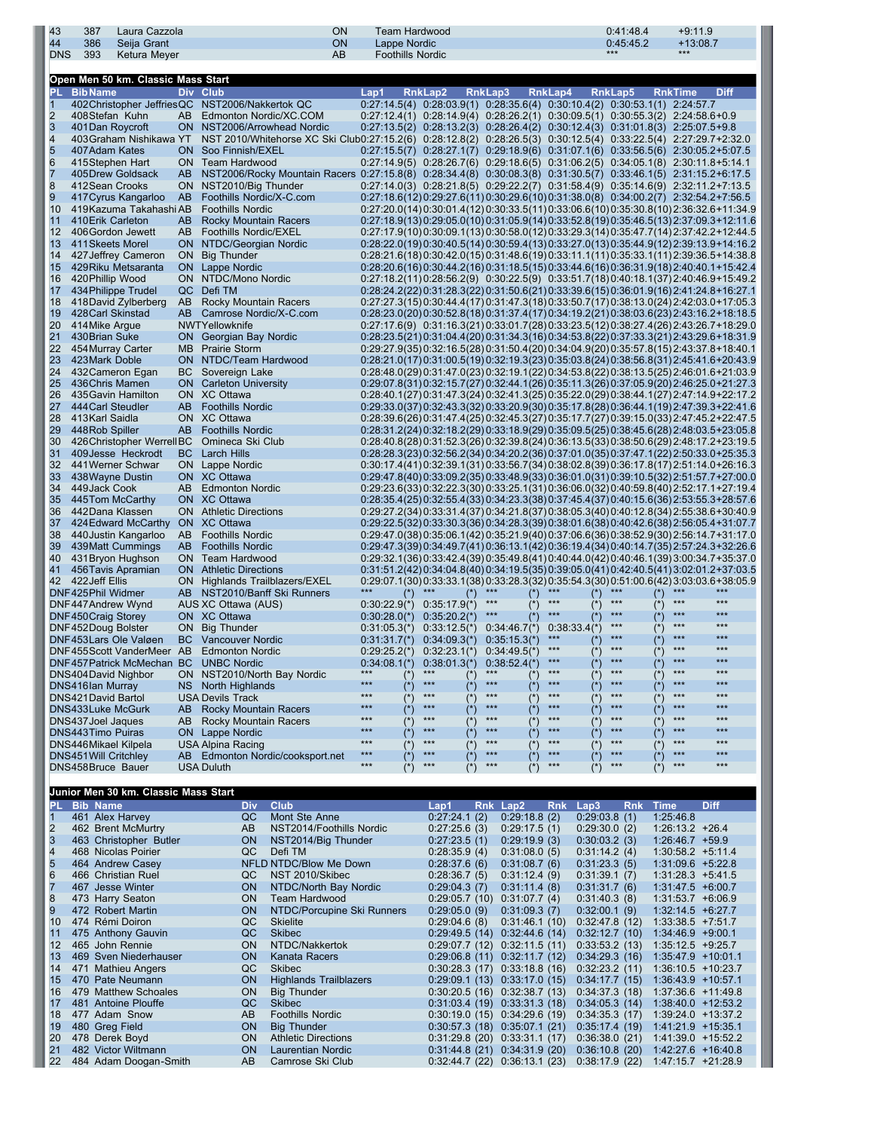| 43               | 387                                            | Laura Cazzola                        |            |                                                                                                                  | ON                       | <b>Team Hardwood</b>                    |                                                                                                                                                                                                |                |                              |                |                                       | 0:41:48.4                      | $+9:11.9$         |                                                                                          |
|------------------|------------------------------------------------|--------------------------------------|------------|------------------------------------------------------------------------------------------------------------------|--------------------------|-----------------------------------------|------------------------------------------------------------------------------------------------------------------------------------------------------------------------------------------------|----------------|------------------------------|----------------|---------------------------------------|--------------------------------|-------------------|------------------------------------------------------------------------------------------|
| 44<br><b>DNS</b> | 386<br>393                                     | Seija Grant<br>Ketura Meyer          |            |                                                                                                                  | <b>ON</b><br>AB          | Lappe Nordic<br><b>Foothills Nordic</b> |                                                                                                                                                                                                |                |                              |                | ***                                   | 0:45:45.2                      | $+13:08.7$<br>*** |                                                                                          |
|                  |                                                |                                      |            |                                                                                                                  |                          |                                         |                                                                                                                                                                                                |                |                              |                |                                       |                                |                   |                                                                                          |
|                  |                                                | Open Men 50 km. Classic Mass Start   |            |                                                                                                                  |                          |                                         |                                                                                                                                                                                                |                |                              |                |                                       |                                |                   |                                                                                          |
| P                | <b>BibName</b>                                 |                                      |            | Div Club                                                                                                         |                          | Lap1                                    | RnkLap2                                                                                                                                                                                        | <b>RnkLap3</b> |                              | <b>RnkLap4</b> | <b>RnkLap5</b>                        |                                | <b>RnkTime</b>    | <b>Diff</b>                                                                              |
| 1<br>2           | 408Stefan Kuhn                                 |                                      | AB.        | 402Christopher JeffriesQC NST2006/Nakkertok QC<br>Edmonton Nordic/XC.COM                                         |                          |                                         | $0:27:14.5(4)$ $0:28:03.9(1)$ $0:28:35.6(4)$ $0:30:10.4(2)$<br>$0.27:12.4(1)$ $0.28:14.9(4)$ $0.28:26.2(1)$ $0.30:09.5(1)$ $0.30:55.3(2)$ $2:24:58.6+0.9$                                      |                |                              |                |                                       | $0:30:53.1(1)$ 2:24:57.7       |                   |                                                                                          |
| 3                | 401Dan Roycroft                                |                                      |            | ON NST2006/Arrowhead Nordic                                                                                      |                          |                                         | $0:27:13.5(2)$ $0:28:13.2(3)$ $0:28:26.4(2)$ $0:30:12.4(3)$                                                                                                                                    |                |                              |                |                                       | $0:31:01.8(3)$ $2:25:07.5+9.8$ |                   |                                                                                          |
| 4                |                                                | 403Graham Nishikawa YT               |            | NST 2010/Whitehorse XC Ski Club0:27:15.2(6) 0:28:12.8(2) 0:28:26.5(3) 0:30:12.5(4) 0:33:22.5(4) 2:27:29.7+2:32.0 |                          |                                         |                                                                                                                                                                                                |                |                              |                |                                       |                                |                   |                                                                                          |
| 5<br>6           | 407Adam Kates                                  |                                      |            | ON Soo Finnish/EXEL<br>ON Team Hardwood                                                                          |                          |                                         | $0.27:15.5(7)$ $0.28:27.1(7)$ $0.29:18.9(6)$ $0.31:07.1(6)$ $0.33:56.5(6)$ $2:30:05.2+5:07.5$<br>$0.27:14.9(5)$ $0.28:26.7(6)$ $0.29:18.6(5)$ $0.31:06.2(5)$ $0.34:05.1(8)$ $2:30:11.8+5:14.1$ |                |                              |                |                                       |                                |                   |                                                                                          |
| 7                | 415Stephen Hart<br>405Drew Goldsack            |                                      | AB         | NST2006/Rocky Mountain Racers 0:27:15.8(8) 0:28:34.4(8) 0:30:08.3(8) 0:31:30.5(7) 0:33:46.1(5) 2:31:15.2+6:17.5  |                          |                                         |                                                                                                                                                                                                |                |                              |                |                                       |                                |                   |                                                                                          |
| 8                | 412Sean Crooks                                 |                                      | ON         | NST2010/Big Thunder                                                                                              |                          |                                         | $0:27:14.0(3)$ $0:28:21.8(5)$ $0:29:22.2(7)$ $0:31:58.4(9)$ $0:35:14.6(9)$ $2:32:11.2+7:13.5$                                                                                                  |                |                              |                |                                       |                                |                   |                                                                                          |
| 9                |                                                | 417 Cyrus Kangarloo                  | AB         | Foothills Nordic/X-C.com                                                                                         |                          |                                         | $0.27:18.6(12)0.29:27.6(11)0.30:29.6(10)0.31:38.0(8)$ $0.34:00.2(7)$ $2.32:54.2+7.56.5$                                                                                                        |                |                              |                |                                       |                                |                   |                                                                                          |
| 10               |                                                | 419 Kazuma Takahashi AB              |            | <b>Foothills Nordic</b><br><b>Rocky Mountain Racers</b>                                                          |                          |                                         | 0:27:20.0(14)0:30:01.4(12)0:30:33.5(11)0:33:06.6(10)0:36:30.8(10)2:36:32.6+11:34.9                                                                                                             |                |                              |                |                                       |                                |                   |                                                                                          |
| 11<br>12         | 410Erik Carleton<br>406Gordon Jewett           |                                      | AB<br>AB   | Foothills Nordic/EXEL                                                                                            |                          |                                         | $0:27:18.9(13)0:29:05.0(10)0:31:05.9(14)0:33:52.8(19)0:35.46.5(13)2:37:09.3+12:11.6$<br>$0.27:17.9(10)0.30.09.1(13)0.30.58.0(12)0.33.29.3(14)0.35.47.7(14)2.37.42.2+12.44.5$                   |                |                              |                |                                       |                                |                   |                                                                                          |
| 13               | 411 Skeets Morel                               |                                      | ON.        | NTDC/Georgian Nordic                                                                                             |                          |                                         |                                                                                                                                                                                                |                |                              |                |                                       |                                |                   | $0:28:22.0(19)0:30.40.5(14)0.30.59.4(13)0.33.27.0(13)0.35.44.9(12)2.39.13.9+14.16.2$     |
| 14               |                                                | 427 Jeffrey Cameron                  | ON.        | <b>Big Thunder</b>                                                                                               |                          |                                         | $0.28.21.6(18)0.30.42.0(15)0.31.48.6(19)0.33.11.1(11)0.35.33.1(11)2.39.36.5+14.38.8$                                                                                                           |                |                              |                |                                       |                                |                   |                                                                                          |
| 15               |                                                | 429Riku Metsaranta                   | ON.        | Lappe Nordic                                                                                                     |                          |                                         | $0.28.20.6(16)0.30.44.2(16)0.31.18.5(15)0.33.44.6(16)0.36.31.9(18)2.40.40.1+15.42.4$                                                                                                           |                |                              |                |                                       |                                |                   |                                                                                          |
| 16<br>17         | 420Phillip Wood<br>434 Philippe Trudel         |                                      | ON.<br>QC. | NTDC/Mono Nordic<br>Defi TM                                                                                      |                          |                                         |                                                                                                                                                                                                |                |                              |                |                                       |                                |                   | $0.27:18.2(11)0.28.56.2(9)$ $0.30.22.5(9)$ $0.33.51.7(18)0.40.18.1(37)2.40.46.9+15.49.2$ |
| 18               |                                                | 418David Zylberberg                  | AB         | Rocky Mountain Racers                                                                                            |                          |                                         | 0:27:27.3(15)0:30:44.4(17)0:31:47.3(18)0:33:50.7(17)0:38:13.0(24)2:42:03.0+17:05.3                                                                                                             |                |                              |                |                                       |                                |                   | $0:28:24.2(22)0:31:28.3(22)0:31:50.6(21)0:33:39.6(15)0:36:01.9(16)2:41:24.8+16:27.1$     |
| 19               | 428Carl Skinstad                               |                                      | AB         | Camrose Nordic/X-C.com                                                                                           |                          |                                         | $0:28:23.0(20)0:30.52.8(18)0.31:37.4(17)0.34:19.2(21)0.38:03.6(23)2:43:16.2+18:18.5$                                                                                                           |                |                              |                |                                       |                                |                   |                                                                                          |
| 20               | 414Mike Argue                                  |                                      |            | NWTYellowknife                                                                                                   |                          |                                         | $0:27:17.6(9)$ $0:31:16.3(21)0:33:01.7(28)0:33:23.5(12)0:38:27.4(26)2:43:26.7+18:29.0$                                                                                                         |                |                              |                |                                       |                                |                   |                                                                                          |
| 21               | 430Brian Suke                                  |                                      |            | <b>ON</b> Georgian Bay Nordic                                                                                    |                          |                                         | 0:28:23.5(21)0:31:04.4(20)0:31:34.3(16)0:34:53.8(22)0:37:33.3(21)2:43:29.6+18:31.9                                                                                                             |                |                              |                |                                       |                                |                   |                                                                                          |
| 22<br>23         | 454 Murray Carter<br>423Mark Doble             |                                      | MB.        | <b>Prairie Storm</b><br>ON NTDC/Team Hardwood                                                                    |                          |                                         | $0.29:27.9(35)0.32:16.5(28)0.31:50.4(20)0.34:04.9(20)0.35.57.8(15)2:43.37.8+18.40.1$<br>$0.28.21.0(17)0.31.00.5(19)0.32.19.3(23)0.35.03.8(24)0.38.56.8(31)2.45.41.6+20.43.9$                   |                |                              |                |                                       |                                |                   |                                                                                          |
| 24               | 432 Cameron Egan                               |                                      | BС         | Sovereign Lake                                                                                                   |                          |                                         | $0:28:48.0(29)0:31:47.0(23)0:32:19.1(22)0:34:53.8(22)0:38:13.5(25)2:46.01.6+21:03.9$                                                                                                           |                |                              |                |                                       |                                |                   |                                                                                          |
| 25               | 436Chris Mamen                                 |                                      | ON.        | <b>Carleton University</b>                                                                                       |                          |                                         | $0.29.07.8(31)0.32.15.7(27)0.32.44.1(26)0.35.11.3(26)0.37.05.9(20)2.46.25.0+21.27.3$                                                                                                           |                |                              |                |                                       |                                |                   |                                                                                          |
| 26               | 435 Gavin Hamilton                             |                                      |            | ON XC Ottawa                                                                                                     |                          |                                         | 0:28:40.1(27) 0:31:47.3(24) 0:32:41.3(25) 0:35:22.0(29) 0:38:44.1(27) 2:47:14.9+22:17.2                                                                                                        |                |                              |                |                                       |                                |                   |                                                                                          |
| 27               | 444 Carl Steudler                              |                                      | AB         | <b>Foothills Nordic</b>                                                                                          |                          |                                         | $0.29.33.0(37)0.32.43.3(32)0.33.20.9(30)0.35.17.8(28)0.36.44.1(19)2.47.39.3+22.41.6$                                                                                                           |                |                              |                |                                       |                                |                   |                                                                                          |
| 28<br>29         | 413Karl Saidla<br>448Rob Spiller               |                                      | AB         | ON XC Ottawa<br><b>Foothills Nordic</b>                                                                          |                          |                                         | $0.28.39.6(26)0.31.47.4(25)0.32.45.3(27)0.35.17.7(27)0.39.15.0(33)2.47.45.2+22.47.5$<br>$0.28.31.2(24)0.32.18.2(29)0.33.18.9(29)0.35.09.5(25)0.38.45.6(28)2.48.03.5+23.05.8$                   |                |                              |                |                                       |                                |                   |                                                                                          |
| 30               |                                                | 426Christopher WerrellBC             |            | Omineca Ski Club                                                                                                 |                          |                                         | $0:28:40.8(28)$ $0:31:52.3(26)$ $0:32:39.8(24)$ $0:36:13.5(33)$ $0:38:50.6(29)$ $2:48:17.2+23:19.5$                                                                                            |                |                              |                |                                       |                                |                   |                                                                                          |
| 31               |                                                | 409 Jesse Heckrodt                   | BC.        | Larch Hills                                                                                                      |                          |                                         | $0.28.28.3(23)0.32.56.2(34)0.34.20.2(36)0.37.01.0(35)0.37.47.1(22)2.50.33.0+25.35.3$                                                                                                           |                |                              |                |                                       |                                |                   |                                                                                          |
| 32               | 441 Werner Schwar                              |                                      |            | ON Lappe Nordic                                                                                                  |                          |                                         | $0.30:17.4(41)0.32.39.1(31)0.33.56.7(34)0.38.02.8(39)0.36.17.8(17)2.51.14.0+26.16.3$                                                                                                           |                |                              |                |                                       |                                |                   |                                                                                          |
| 33               | 438 Wayne Dustin                               |                                      |            | ON XC Ottawa                                                                                                     |                          |                                         | $0.29:47.8(40)0.33:09.2(35)0.33:48.9(33)0.36:01.0(31)0.39:10.5(32)2:51:57.7+27:00.0$                                                                                                           |                |                              |                |                                       |                                |                   |                                                                                          |
| 34<br>35         | 449Jack Cook<br>445Tom McCarthy                |                                      | AB         | <b>Edmonton Nordic</b><br>ON XC Ottawa                                                                           |                          |                                         | $0.28.35.4(25)0.32.55.4(33)0.34.23.3(38)0.37.45.4(37)0.40.15.6(36)2.53.55.3+28.57.6$                                                                                                           |                |                              |                |                                       |                                |                   | $0.29.23.6(33)0.32.22.3(30)0.33.25.1(31)0.36.06.0(32)0.40.59.8(40)2.52.17.1+27.19.4$     |
| 36               | 442Dana Klassen                                |                                      |            | <b>ON</b> Athletic Directions                                                                                    |                          |                                         | 0:29:27.2(34)0:33:31.4(37)0:34:21.8(37)0:38:05.3(40)0:40:12.8(34)2:55:38.6+30:40.9                                                                                                             |                |                              |                |                                       |                                |                   |                                                                                          |
| 37               |                                                | 424 Edward McCarthy                  |            | ON XC Ottawa                                                                                                     |                          |                                         |                                                                                                                                                                                                |                |                              |                |                                       |                                |                   | $0.29:22.5(32)0.33:30.3(36)0.34:28.3(39)0.38:01.6(38)0.40:42.6(38)2:56.05.4+31:07.7$     |
| 38               |                                                | 440 Justin Kangarloo                 | AB         | <b>Foothills Nordic</b>                                                                                          |                          |                                         | $0.29.47.0(38)0.35.06.1(42)0.35.21.9(40)0.37.06.6(36)0.38.52.9(30)2.56.14.7+31.17.0$                                                                                                           |                |                              |                |                                       |                                |                   |                                                                                          |
| 39<br>40         | 439Matt Cummings<br>431 Bryon Hughson          |                                      | AB<br>ON.  | <b>Foothills Nordic</b><br>Team Hardwood                                                                         |                          |                                         | 0:29:47.3(39) 0:34:49.7(41) 0:36:13.1(42) 0:36:19.4(34) 0:40:14.7(35) 2:57:24.3+32:26.6<br>0:29:32.1(36) 0:33:42.4(39) 0:35:49.8(41) 0:40:44.0(42) 0:40:46.1(39) 3:00:34.7+35:37.0             |                |                              |                |                                       |                                |                   |                                                                                          |
| 41               | 456 Tavis Apramian                             |                                      | ON.        | <b>Athletic Directions</b>                                                                                       |                          |                                         | $0:31:51.2(42)0:34:04.8(40)0:34:19.5(35)0:39:05.0(41)0:42:40.5(41)3:02:01.2+37:03.5$                                                                                                           |                |                              |                |                                       |                                |                   |                                                                                          |
| 42               | 422Jeff Ellis                                  |                                      | ON.        | Highlands Trailblazers/EXEL                                                                                      |                          |                                         | $0.29.07.1(30)0.33.33.1(38)0.33.28.3(32)0.35.54.3(30)0.51.00.6(42)3.03.03.6+38.05.9$                                                                                                           |                |                              |                |                                       |                                |                   |                                                                                          |
|                  | DNF425Phil Widmer                              |                                      | AB         | NST2010/Banff Ski Runners                                                                                        |                          | $(*)$                                   |                                                                                                                                                                                                | $***$          |                              | $***$          | $***$                                 |                                | $***$             | $***$                                                                                    |
|                  | DNF447Andrew Wynd                              |                                      |            | AUS XC Ottawa (AUS)<br>ON XC Ottawa                                                                              |                          | $0:30:28.0(*)$                          | $0:30:22.9(*)$ $0:35:17.9(*)$                                                                                                                                                                  | $***$          |                              | $***$          | $***$                                 |                                | $***$             | ***                                                                                      |
|                  | DNF450Craig Storey<br>DNF452Doug Bolster       |                                      | ON         | <b>Big Thunder</b>                                                                                               |                          | $0:31:05.3(*)$                          | $0:35:20.2(*)$<br>$0:33:12.5(*)$                                                                                                                                                               |                | $0:34:46.7(*)$               | $0:38:33.4(*)$ | $***$                                 |                                | $***$             | $***$                                                                                    |
|                  | DNF453Lars Ole Valgen                          |                                      | ВC         | <b>Vancouver Nordic</b>                                                                                          |                          | $0:31:31.7(*)$                          | $0:34:09.3(*)$                                                                                                                                                                                 |                | $0:35:15.3(*)$               | $***$          | ***<br>$(*)$                          | $(\star)$                      | ***               | ***                                                                                      |
|                  |                                                | DNF455Scott VanderMeer AB            |            | <b>Edmonton Nordic</b>                                                                                           |                          |                                         | $0:29:25.2(*)$ $0:32:23.1(*)$                                                                                                                                                                  |                | $0:34:49.5(*)$               | $***$          | $***$<br>$(*)$                        | $(*)$                          | $***$             | ***                                                                                      |
|                  |                                                | DNF457Patrick McMechan BC            |            | <b>UNBC Nordic</b>                                                                                               |                          | $0:34:08.1(*)$<br>$***$                 | $0:38:01.3(*)$<br>$***$                                                                                                                                                                        | $***$          | 0:38:52.4                    | ***<br>$***$   | $(\dot{ }^{\ast })$<br>***<br>$***$   |                                | ***<br>$***$      | ***<br>$***$                                                                             |
|                  | DNS404David Nighbor<br><b>DNS416Ian Murray</b> |                                      | NS.        | ON NST2010/North Bay Nordic<br>North Highlands                                                                   |                          | $(\tilde{\ })$<br>$***$<br>$(*)$        | $(*)$<br>$***$<br>$(*)$                                                                                                                                                                        | $***$          | $($ *)<br>$(\star)$          | $***$          | $(*)$<br>$***$<br>$(*)$               | $(*)$<br>$(*)$                 | $***$             | $***$                                                                                    |
|                  | <b>DNS421David Bartol</b>                      |                                      |            | <b>USA Devils Track</b>                                                                                          |                          | $***$<br>$($ *)                         | $***$<br>$(*)$                                                                                                                                                                                 | $***$          |                              | $***$          | $***$<br>$(\star)$                    |                                | $***$             | $***$                                                                                    |
|                  | <b>DNS433Luke McGurk</b>                       |                                      | AB         | <b>Rocky Mountain Racers</b>                                                                                     |                          | $***$<br>$(\dot{\phantom{a}})$          | $***$<br>$(*)$                                                                                                                                                                                 | $***$          | $(*)$                        | $***$          | ***<br>$(*)$                          | $(*)$                          | $***$             | $***$                                                                                    |
|                  | DNS437 Joel Jaques                             |                                      | AB         | Rocky Mountain Racers                                                                                            |                          | $***$<br>$(*)$<br>$***$                 | $***$<br>$(*)$<br>$***$                                                                                                                                                                        | $***$<br>$***$ |                              | $***$<br>$***$ | $***$<br>$(\dot{\phantom{a}})$<br>*** |                                | $***$<br>***      | ***<br>$***$                                                                             |
|                  | DNS443Timo Puiras<br>DNS446Mikael Kilpela      |                                      |            | <b>ON</b> Lappe Nordic<br><b>USA Alpina Racing</b>                                                               |                          | $(*)$<br>$***$<br>$(*)$                 | $(*)$<br>$***$<br>$(*)$                                                                                                                                                                        | $***$          | $(\star)$<br>$(*)$           | $***$          | $(\star)$<br>$***$<br>$(*)$           | $(*)$                          | $***$             | $***$                                                                                    |
|                  | <b>DNS451Will Critchley</b>                    |                                      | AB -       | Edmonton Nordic/cooksport.net                                                                                    |                          | $***$<br>$(\tilde{\ })$                 | $***$<br>$(\dot{\phantom{a}})$                                                                                                                                                                 | $***$          | $(*)$                        | $***$          | $***$<br>$(*)$                        | $(\texttt{'}')$                | ***               | ***                                                                                      |
|                  | DNS458Bruce Bauer                              |                                      |            | <b>USA Duluth</b>                                                                                                |                          | $***$                                   | $***$<br>$(*)$                                                                                                                                                                                 | $***$          | $(*)$                        | $***$          | $***$<br>$(\texttt{'}$                |                                | $***$             | $***$                                                                                    |
|                  |                                                | Junior Men 30 km. Classic Mass Start |            |                                                                                                                  |                          |                                         |                                                                                                                                                                                                |                |                              |                |                                       |                                |                   |                                                                                          |
| Pl               | <b>Bib Name</b>                                |                                      |            | <b>Club</b><br><b>Div</b>                                                                                        |                          |                                         | Lap1                                                                                                                                                                                           | Rnk Lap2       |                              | <b>Rnk</b>     | Lap3                                  | <b>Time</b><br><b>Rnk</b>      |                   | <b>Diff</b>                                                                              |
| $\mathbf{1}$     | 461 Alex Harvey                                |                                      |            | Mont Ste Anne<br>QC                                                                                              |                          |                                         | 0:27:24.1(2)                                                                                                                                                                                   |                | 0:29:18.8(2)                 |                | 0:29:03.8(1)                          |                                | 1:25:46.8         |                                                                                          |
| $\overline{c}$   |                                                | 462 Brent McMurtry                   |            | AB                                                                                                               | NST2014/Foothills Nordic |                                         | 0:27:25.6(3)                                                                                                                                                                                   |                | 0:29:17.5(1)                 |                | $0:29:30.0$ (2)                       |                                | $1:26:13.2 +26.4$ |                                                                                          |
| 3                |                                                | 463 Christopher Butler               |            | <b>ON</b>                                                                                                        | NST2014/Big Thunder      |                                         | 0:27:23.5(1)                                                                                                                                                                                   |                | 0:29:19.9(3)                 |                | 0:30:03.2(3)                          |                                | $1:26:46.7$ +59.9 |                                                                                          |
| 4<br>5           | 468 Nicolas Poirier                            | 464 Andrew Casey                     |            | QC<br>Defi TM<br>NFLD NTDC/Blow Me Down                                                                          |                          |                                         | 0:28:35.9(4)                                                                                                                                                                                   |                | 0:31:08.0(5)                 |                | 0:31:14.2(4)                          |                                |                   | $1:30:58.2 +5:11.4$                                                                      |
| 6                | 466 Christian Ruel                             |                                      |            | QC                                                                                                               | NST 2010/Skibec          |                                         | 0:28:37.6(6)<br>0:28:36.7(5)                                                                                                                                                                   |                | 0:31:08.7(6)<br>0:31:12.4(9) |                | 0:31:23.3(5)<br>0:31:39.1(7)          |                                |                   | $1:31:09.6$ +5:22.8<br>$1:31:28.3$ +5:41.5                                               |
| 7                | 467 Jesse Winter                               |                                      |            | <b>ON</b>                                                                                                        | NTDC/North Bay Nordic    |                                         | 0:29:04.3(7)                                                                                                                                                                                   |                | 0:31:11.4(8)                 |                | 0:31:31.7(6)                          |                                |                   | $1:31:47.5$ +6:00.7                                                                      |

 473 Harry Seaton ON Team Hardwood 0:29:05.7 (10) 0:31:07.7 (4) 0:31:40.3 (8) 1:31:53.7 +6:06.9 472 Robert Martin ON NTDC/Porcupine Ski Runners 0:29:05.0 (9) 0:31:09.3 (7) 0:32:00.1 (9) 1:32:14.5 +6:27.7 474 Rémi Doiron QC Skielite 0:29:04.6 (8) 0:31:46.1 (10) 0:32:47.8 (12) 1:33:38.5 +7:51.7 475 Anthony Gauvin QC Skibec 0:29:49.5 (14) 0:32:44.6 (14) 0:32:12.7 (10) 1:34:46.9 +9:00.1 465 John Rennie ON NTDC/Nakkertok 0:29:07.7 (12) 0:32:11.5 (11) 0:33:53.2 (13) 1:35:12.5 +9:25.7 469 Sven Niederhauser ON Kanata Racers 0:29:06.8 (11) 0:32:11.7 (12) 0:34:29.3 (16) 1:35:47.9 +10:01.1 471 Mathieu Angers QC Skibec 0:30:28.3 (17) 0:33:18.8 (16) 0:32:23.2 (11) 1:36:10.5 +10:23.7 470 Pate Neumann ON Highlands Trailblazers 0:29:09.1 (13) 0:33:17.0 (15) 0:34:17.7 (15) 1:36:43.9 +10:57.1 479 Matthew Schoales ON Big Thunder 0:30:20.5 (16) 0:32:38.7 (13) 0:34:37.3 (18) 1:37:36.6 +11:49.8 481 Antoine Plouffe QC Skibec 0:31:03.4 (19) 0:33:31.3 (18) 0:34:05.3 (14) 1:38:40.0 +12:53.2 477 Adam Snow AB Foothills Nordic 0:30:19.0 (15) 0:34:29.6 (19) 0:34:35.3 (17) 1:39:24.0 +13:37.2 19 Big Thunder 0:30:57.3 (18) 0:35:07.1 (21)

478 Derek Boyd ON Athletic Directions 0:31:29.8 (20) 0:33:31.1 (17) 0:36:38.0 (21) 1:41:39.0 +15:52.2

484 Adam Doogan-Smith AB Camrose Ski Club 0:32:44.7 (22) 0:36:13.1 (23) 0:38:17.9 (22) 1:47:15.7 +21:28.9

Laurentian Nordic 0:31:44.8 (21) 0:34:31.9 (20) 0:36:10.8 (20)